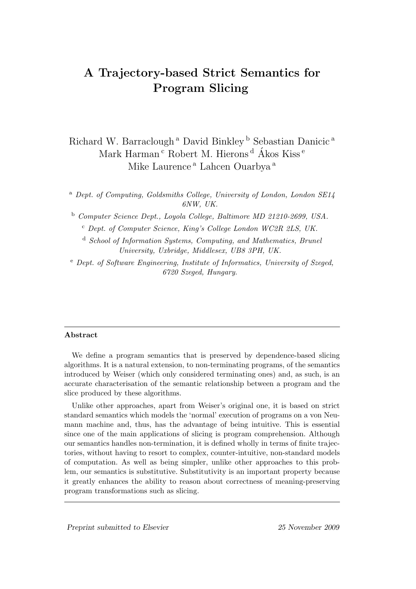# A Trajectory-based Strict Semantics for Program Slicing

Richard W. Barraclough<sup>a</sup> David Binkley<sup>b</sup> Sebastian Danicic<sup>a</sup> Mark Harman<sup>c</sup> Robert M. Hierons<sup>d</sup> Ákos Kiss<sup>e</sup> Mike Laurence<sup>a</sup> Lahcen Ouarbya<sup>a</sup>

<sup>a</sup> Dept. of Computing, Goldsmiths College, University of London, London SE14 6NW, UK.

<sup>b</sup> Computer Science Dept., Loyola College, Baltimore MD 21210-2699, USA.

 $c$  Dept. of Computer Science, King's College London WC2R 2LS, UK.

<sup>d</sup> School of Information Systems, Computing, and Mathematics, Brunel University, Uxbridge, Middlesex, UB8 3PH, UK.

<sup>e</sup> Dept. of Software Engineering, Institute of Informatics, University of Szeged, 6720 Szeged, Hungary.

#### Abstract

We define a program semantics that is preserved by dependence-based slicing algorithms. It is a natural extension, to non-terminating programs, of the semantics introduced by Weiser (which only considered terminating ones) and, as such, is an accurate characterisation of the semantic relationship between a program and the slice produced by these algorithms.

Unlike other approaches, apart from Weiser's original one, it is based on strict standard semantics which models the 'normal' execution of programs on a von Neumann machine and, thus, has the advantage of being intuitive. This is essential since one of the main applications of slicing is program comprehension. Although our semantics handles non-termination, it is defined wholly in terms of finite trajectories, without having to resort to complex, counter-intuitive, non-standard models of computation. As well as being simpler, unlike other approaches to this problem, our semantics is substitutive. Substitutivity is an important property because it greatly enhances the ability to reason about correctness of meaning-preserving program transformations such as slicing.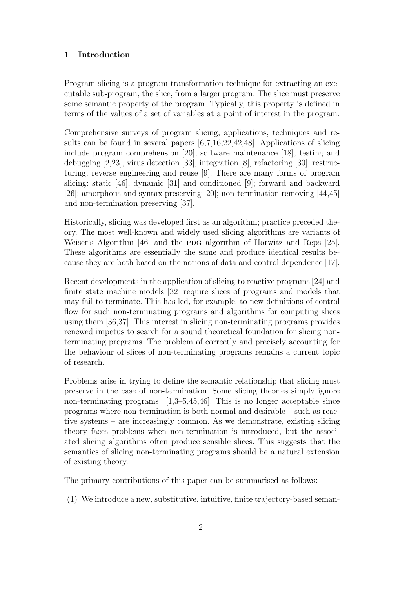### 1 Introduction

Program slicing is a program transformation technique for extracting an executable sub-program, the slice, from a larger program. The slice must preserve some semantic property of the program. Typically, this property is defined in terms of the values of a set of variables at a point of interest in the program.

Comprehensive surveys of program slicing, applications, techniques and results can be found in several papers [6,7,16,22,42,48]. Applications of slicing include program comprehension [20], software maintenance [18], testing and debugging [2,23], virus detection [33], integration [8], refactoring [30], restructuring, reverse engineering and reuse [9]. There are many forms of program slicing: static [46], dynamic [31] and conditioned [9]; forward and backward [26]; amorphous and syntax preserving [20]; non-termination removing [44,45] and non-termination preserving [37].

Historically, slicing was developed first as an algorithm; practice preceded theory. The most well-known and widely used slicing algorithms are variants of Weiser's Algorithm  $[46]$  and the PDG algorithm of Horwitz and Reps  $[25]$ . These algorithms are essentially the same and produce identical results because they are both based on the notions of data and control dependence [17].

Recent developments in the application of slicing to reactive programs [24] and finite state machine models [32] require slices of programs and models that may fail to terminate. This has led, for example, to new definitions of control flow for such non-terminating programs and algorithms for computing slices using them [36,37]. This interest in slicing non-terminating programs provides renewed impetus to search for a sound theoretical foundation for slicing nonterminating programs. The problem of correctly and precisely accounting for the behaviour of slices of non-terminating programs remains a current topic of research.

Problems arise in trying to define the semantic relationship that slicing must preserve in the case of non-termination. Some slicing theories simply ignore non-terminating programs [1,3–5,45,46]. This is no longer acceptable since programs where non-termination is both normal and desirable – such as reactive systems – are increasingly common. As we demonstrate, existing slicing theory faces problems when non-termination is introduced, but the associated slicing algorithms often produce sensible slices. This suggests that the semantics of slicing non-terminating programs should be a natural extension of existing theory.

The primary contributions of this paper can be summarised as follows:

(1) We introduce a new, substitutive, intuitive, finite trajectory-based seman-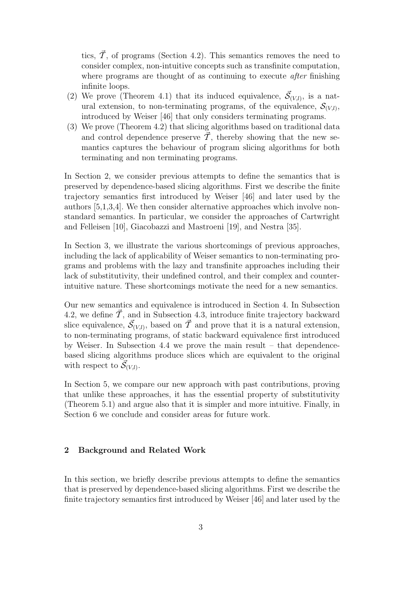tics,  $\vec{T}$ , of programs (Section 4.2). This semantics removes the need to consider complex, non-intuitive concepts such as transfinite computation, where programs are thought of as continuing to execute *after* finishing infinite loops.

- (2) We prove (Theorem 4.1) that its induced equivalence,  $\vec{S}_{(V,l)}$ , is a natural extension, to non-terminating programs, of the equivalence,  $\mathcal{S}_{(V,l)}$ , introduced by Weiser [46] that only considers terminating programs.
- (3) We prove (Theorem 4.2) that slicing algorithms based on traditional data and control dependence preserve  $\vec{\mathcal{T}}$ , thereby showing that the new semantics captures the behaviour of program slicing algorithms for both terminating and non terminating programs.

In Section 2, we consider previous attempts to define the semantics that is preserved by dependence-based slicing algorithms. First we describe the finite trajectory semantics first introduced by Weiser [46] and later used by the authors [5,1,3,4]. We then consider alternative approaches which involve nonstandard semantics. In particular, we consider the approaches of Cartwright and Felleisen [10], Giacobazzi and Mastroeni [19], and Nestra [35].

In Section 3, we illustrate the various shortcomings of previous approaches, including the lack of applicability of Weiser semantics to non-terminating programs and problems with the lazy and transfinite approaches including their lack of substitutivity, their undefined control, and their complex and counterintuitive nature. These shortcomings motivate the need for a new semantics.

Our new semantics and equivalence is introduced in Section 4. In Subsection 4.2, we define  $\vec{\mathcal{T}}$ , and in Subsection 4.3, introduce finite trajectory backward slice equivalence,  $\vec{S}_{(V,l)}$ , based on  $\vec{T}$  and prove that it is a natural extension, to non-terminating programs, of static backward equivalence first introduced by Weiser. In Subsection 4.4 we prove the main result – that dependencebased slicing algorithms produce slices which are equivalent to the original with respect to  $\vec{S}_{(V,l)}$ .

In Section 5, we compare our new approach with past contributions, proving that unlike these approaches, it has the essential property of substitutivity (Theorem 5.1) and argue also that it is simpler and more intuitive. Finally, in Section 6 we conclude and consider areas for future work.

# 2 Background and Related Work

In this section, we briefly describe previous attempts to define the semantics that is preserved by dependence-based slicing algorithms. First we describe the finite trajectory semantics first introduced by Weiser [46] and later used by the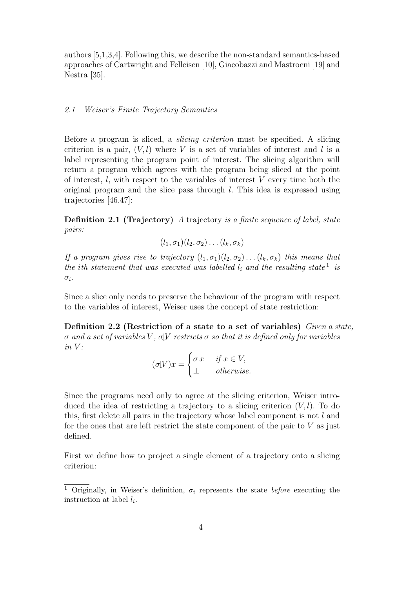authors [5,1,3,4]. Following this, we describe the non-standard semantics-based approaches of Cartwright and Felleisen [10], Giacobazzi and Mastroeni [19] and Nestra [35].

#### 2.1 Weiser's Finite Trajectory Semantics

Before a program is sliced, a slicing criterion must be specified. A slicing criterion is a pair,  $(V, l)$  where V is a set of variables of interest and l is a label representing the program point of interest. The slicing algorithm will return a program which agrees with the program being sliced at the point of interest,  $l$ , with respect to the variables of interest  $V$  every time both the original program and the slice pass through l. This idea is expressed using trajectories [46,47]:

Definition 2.1 (Trajectory) A trajectory is a finite sequence of label, state pairs:

 $(l_1, \sigma_1)(l_2, \sigma_2) \dots (l_k, \sigma_k)$ 

If a program gives rise to trajectory  $(l_1, \sigma_1)(l_2, \sigma_2) \dots (l_k, \sigma_k)$  this means that the ith statement that was executed was labelled  $l_i$  and the resulting state<sup>1</sup> is  $\sigma_i$ .

Since a slice only needs to preserve the behaviour of the program with respect to the variables of interest, Weiser uses the concept of state restriction:

Definition 2.2 (Restriction of a state to a set of variables) Given a state,  $σ$  and a set of variables V,  $σ$ <sub>*W*</sub> restricts  $σ$  so that it is defined only for variables in  $V$ :

$$
(\sigma V)x = \begin{cases} \sigma x & \text{if } x \in V, \\ \bot & \text{otherwise.} \end{cases}
$$

Since the programs need only to agree at the slicing criterion, Weiser introduced the idea of restricting a trajectory to a slicing criterion  $(V, l)$ . To do this, first delete all pairs in the trajectory whose label component is not l and for the ones that are left restrict the state component of the pair to V as just defined.

First we define how to project a single element of a trajectory onto a slicing criterion:

<sup>&</sup>lt;sup>1</sup> Originally, in Weiser's definition,  $\sigma_i$  represents the state *before* executing the instruction at label  $l_i$ .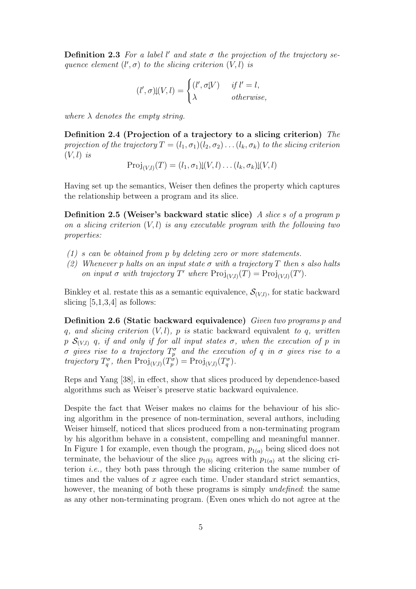**Definition 2.3** For a label l' and state  $\sigma$  the projection of the trajectory sequence element  $(l', \sigma)$  to the slicing criterion  $(V, l)$  is

$$
(l', \sigma)\mathbf{U}(V, l) = \begin{cases} (l', \sigma\mathbf{V}) & \text{if } l' = l, \\ \lambda & \text{otherwise,} \end{cases}
$$

where  $\lambda$  denotes the empty string.

Definition 2.4 (Projection of a trajectory to a slicing criterion) The projection of the trajectory  $T = (l_1, \sigma_1)(l_2, \sigma_2) \dots (l_k, \sigma_k)$  to the slicing criterion  $(V, l)$  is

$$
\mathrm{Proj}_{(V,l)}(T) = (l_1, \sigma_1) \mathcal{L}(V,l) \dots (l_k, \sigma_k) \mathcal{L}(V,l)
$$

Having set up the semantics, Weiser then defines the property which captures the relationship between a program and its slice.

**Definition 2.5 (Weiser's backward static slice)** A slice s of a program p on a slicing criterion  $(V, l)$  is any executable program with the following two properties:

- (1) s can be obtained from p by deleting zero or more statements.
- (2) Whenever p halts on an input state  $\sigma$  with a trajectory T then s also halts on input  $\sigma$  with trajectory T' where  $\text{Proj}_{(V,l)}(T) = \text{Proj}_{(V,l)}(T')$ .

Binkley et al. restate this as a semantic equivalence,  $\mathcal{S}_{(V,l)}$ , for static backward slicing  $[5,1,3,4]$  as follows:

Definition 2.6 (Static backward equivalence) Given two programs p and q, and slicing criterion  $(V, l)$ , p is static backward equivalent to q, written p  $S_{(V,l)}$  q, if and only if for all input states  $\sigma$ , when the execution of p in σ gives rise to a trajectory  $T_p^{\sigma}$  and the execution of q in σ gives rise to a trajectory  $T_q^{\sigma}$ , then  $\text{Proj}_{(V,l)}(\tilde{T}_p^{\sigma}) = \text{Proj}_{(V,l)}(T_q^{\sigma})$ .

Reps and Yang [38], in effect, show that slices produced by dependence-based algorithms such as Weiser's preserve static backward equivalence.

Despite the fact that Weiser makes no claims for the behaviour of his slicing algorithm in the presence of non-termination, several authors, including Weiser himself, noticed that slices produced from a non-terminating program by his algorithm behave in a consistent, compelling and meaningful manner. In Figure 1 for example, even though the program,  $p_{1(a)}$  being sliced does not terminate, the behaviour of the slice  $p_{1(b)}$  agrees with  $p_{1(a)}$  at the slicing criterion i.e., they both pass through the slicing criterion the same number of times and the values of  $x$  agree each time. Under standard strict semantics, however, the meaning of both these programs is simply *undefined*: the same as any other non-terminating program. (Even ones which do not agree at the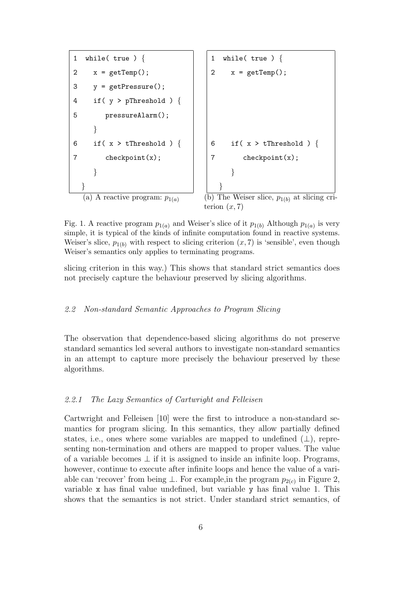

Fig. 1. A reactive program  $p_{1(a)}$  and Weiser's slice of it  $p_{1(b)}$  Although  $p_{1(a)}$  is very simple, it is typical of the kinds of infinite computation found in reactive systems. Weiser's slice,  $p_{1(b)}$  with respect to slicing criterion  $(x, 7)$  is 'sensible', even though Weiser's semantics only applies to terminating programs.

slicing criterion in this way.) This shows that standard strict semantics does not precisely capture the behaviour preserved by slicing algorithms.

#### 2.2 Non-standard Semantic Approaches to Program Slicing

The observation that dependence-based slicing algorithms do not preserve standard semantics led several authors to investigate non-standard semantics in an attempt to capture more precisely the behaviour preserved by these algorithms.

#### 2.2.1 The Lazy Semantics of Cartwright and Felleisen

Cartwright and Felleisen [10] were the first to introduce a non-standard semantics for program slicing. In this semantics, they allow partially defined states, i.e., ones where some variables are mapped to undefined  $(\perp)$ , representing non-termination and others are mapped to proper values. The value of a variable becomes  $\perp$  if it is assigned to inside an infinite loop. Programs, however, continue to execute after infinite loops and hence the value of a variable can 'recover' from being  $\perp$ . For example, in the program  $p_{2(c)}$  in Figure 2, variable x has final value undefined, but variable y has final value 1. This shows that the semantics is not strict. Under standard strict semantics, of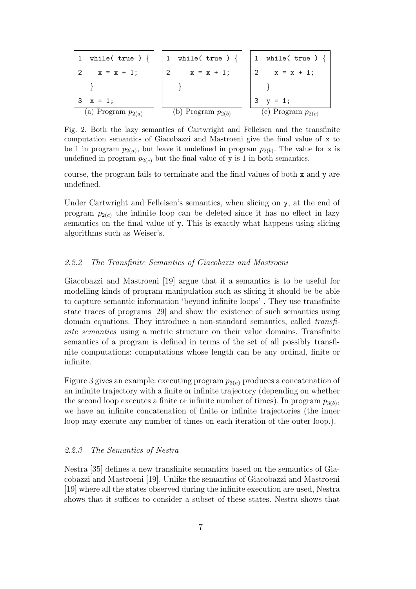| 1 while( $true$ ) $\{$   | 1 while( $true$ ) $\{\  $ | $\vert$ 1 while( true ) |
|--------------------------|---------------------------|-------------------------|
| $x = x + 1;$             | 2<br>$x = x + 1$ ;        | $x = x + 1$ ;           |
|                          |                           |                         |
| $x = 1$ ;                |                           | $3 \quad y = 1;$        |
| Program $p_{2(a)}$<br>a) | Program $p_{2(b)}$        | (c) Program $p_{2(c)}$  |

Fig. 2. Both the lazy semantics of Cartwright and Felleisen and the transfinite computation semantics of Giacobazzi and Mastroeni give the final value of x to be 1 in program  $p_{2(a)}$ , but leave it undefined in program  $p_{2(b)}$ . The value for x is undefined in program  $p_{2(c)}$  but the final value of y is 1 in both semantics.

course, the program fails to terminate and the final values of both x and y are undefined.

Under Cartwright and Felleisen's semantics, when slicing on y, at the end of program  $p_{2(c)}$  the infinite loop can be deleted since it has no effect in lazy semantics on the final value of y. This is exactly what happens using slicing algorithms such as Weiser's.

#### 2.2.2 The Transfinite Semantics of Giacobazzi and Mastroeni

Giacobazzi and Mastroeni [19] argue that if a semantics is to be useful for modelling kinds of program manipulation such as slicing it should be be able to capture semantic information 'beyond infinite loops' . They use transfinite state traces of programs [29] and show the existence of such semantics using domain equations. They introduce a non-standard semantics, called transfinite semantics using a metric structure on their value domains. Transfinite semantics of a program is defined in terms of the set of all possibly transfinite computations: computations whose length can be any ordinal, finite or infinite.

Figure 3 gives an example: executing program  $p_{3(a)}$  produces a concatenation of an infinite trajectory with a finite or infinite trajectory (depending on whether the second loop executes a finite or infinite number of times). In program  $p_{3(b)}$ , we have an infinite concatenation of finite or infinite trajectories (the inner loop may execute any number of times on each iteration of the outer loop.).

# 2.2.3 The Semantics of Nestra

Nestra [35] defines a new transfinite semantics based on the semantics of Giacobazzi and Mastroeni [19]. Unlike the semantics of Giacobazzi and Mastroeni [19] where all the states observed during the infinite execution are used, Nestra shows that it suffices to consider a subset of these states. Nestra shows that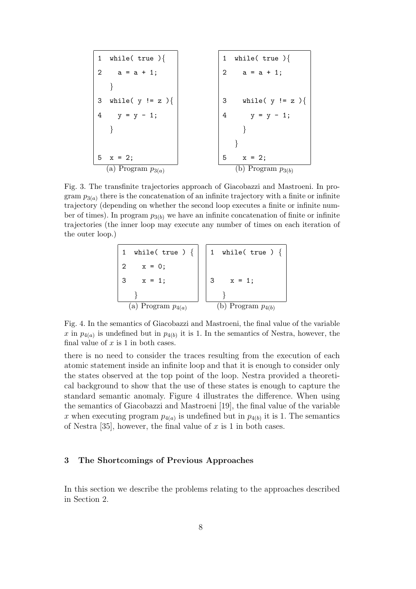

Fig. 3. The transfinite trajectories approach of Giacobazzi and Mastroeni. In program  $p_{3(a)}$  there is the concatenation of an infinite trajectory with a finite or infinite trajectory (depending on whether the second loop executes a finite or infinite number of times). In program  $p_{3(b)}$  we have an infinite concatenation of finite or infinite trajectories (the inner loop may execute any number of times on each iteration of the outer loop.)

| 1 while ( true ) { | 1 while ( true ) {                                                                                                                                        |                                                                                                                              |                                                                                                 |                                                                    |                                       |         |
|--------------------|-----------------------------------------------------------------------------------------------------------------------------------------------------------|------------------------------------------------------------------------------------------------------------------------------|-------------------------------------------------------------------------------------------------|--------------------------------------------------------------------|---------------------------------------|---------|
| 2                  | $x = 0;$                                                                                                                                                  | 1 while ( true ) {                                                                                                           |                                                                                                 |                                                                    |                                       |         |
| 3                  | $x = 1;$                                                                                                                                                  | 3                                                                                                                            | $x = 1;$                                                                                        |                                                                    |                                       |         |
| 4                  | 1<br>\n <td>1<br 4<="" td=""/>\n<td>2<br 4<="" td=""/>\n<td>3<br 4<="" td=""/>\n<td>4<br 4<="" td=""/>\n<td>4<br 4<="" td=""/>\n</td></td></td></td></td> | 1<br>\n <td>2<br 4<="" td=""/>\n<td>3<br 4<="" td=""/>\n<td>4<br 4<="" td=""/>\n<td>4<br 4<="" td=""/>\n</td></td></td></td> | 2<br>\n <td>3<br 4<="" td=""/>\n<td>4<br 4<="" td=""/>\n<td>4<br 4<="" td=""/>\n</td></td></td> | 3<br>\n <td>4<br 4<="" td=""/>\n<td>4<br 4<="" td=""/>\n</td></td> | 4<br>\n <td>4<br 4<="" td=""/>\n</td> | 4<br>\n |

Fig. 4. In the semantics of Giacobazzi and Mastroeni, the final value of the variable x in  $p_{4(a)}$  is undefined but in  $p_{4(b)}$  it is 1. In the semantics of Nestra, however, the final value of  $x$  is 1 in both cases.

there is no need to consider the traces resulting from the execution of each atomic statement inside an infinite loop and that it is enough to consider only the states observed at the top point of the loop. Nestra provided a theoretical background to show that the use of these states is enough to capture the standard semantic anomaly. Figure 4 illustrates the difference. When using the semantics of Giacobazzi and Mastroeni [19], the final value of the variable x when executing program  $p_{4(a)}$  is undefined but in  $p_{4(b)}$  it is 1. The semantics of Nestra [35], however, the final value of  $x$  is 1 in both cases.

#### 3 The Shortcomings of Previous Approaches

In this section we describe the problems relating to the approaches described in Section 2.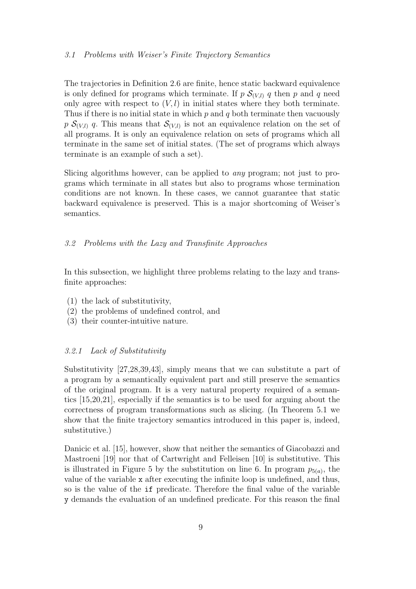#### 3.1 Problems with Weiser's Finite Trajectory Semantics

The trajectories in Definition 2.6 are finite, hence static backward equivalence is only defined for programs which terminate. If  $p S_{(V,l)} q$  then p and q need only agree with respect to  $(V, l)$  in initial states where they both terminate. Thus if there is no initial state in which  $p$  and  $q$  both terminate then vacuously  $p \mathcal{S}_{(V,l)} q$ . This means that  $\mathcal{S}_{(V,l)}$  is not an equivalence relation on the set of all programs. It is only an equivalence relation on sets of programs which all terminate in the same set of initial states. (The set of programs which always terminate is an example of such a set).

Slicing algorithms however, can be applied to any program; not just to programs which terminate in all states but also to programs whose termination conditions are not known. In these cases, we cannot guarantee that static backward equivalence is preserved. This is a major shortcoming of Weiser's semantics.

#### 3.2 Problems with the Lazy and Transfinite Approaches

In this subsection, we highlight three problems relating to the lazy and transfinite approaches:

- (1) the lack of substitutivity,
- (2) the problems of undefined control, and
- (3) their counter-intuitive nature.

#### 3.2.1 Lack of Substitutivity

Substitutivity [27,28,39,43], simply means that we can substitute a part of a program by a semantically equivalent part and still preserve the semantics of the original program. It is a very natural property required of a semantics [15,20,21], especially if the semantics is to be used for arguing about the correctness of program transformations such as slicing. (In Theorem 5.1 we show that the finite trajectory semantics introduced in this paper is, indeed, substitutive.)

Danicic et al. [15], however, show that neither the semantics of Giacobazzi and Mastroeni [19] nor that of Cartwright and Felleisen [10] is substitutive. This is illustrated in Figure 5 by the substitution on line 6. In program  $p_{5(a)}$ , the value of the variable x after executing the infinite loop is undefined, and thus, so is the value of the if predicate. Therefore the final value of the variable y demands the evaluation of an undefined predicate. For this reason the final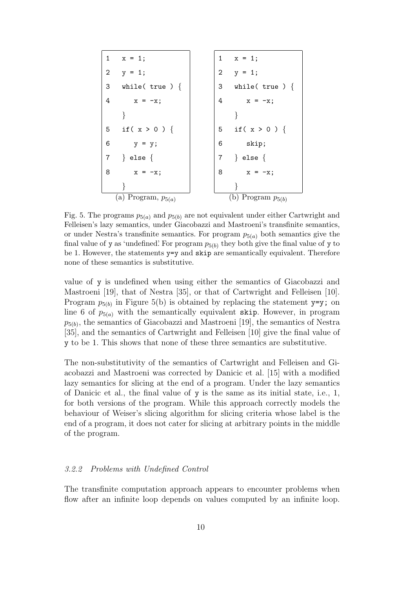

Fig. 5. The programs  $p_{5(a)}$  and  $p_{5(b)}$  are not equivalent under either Cartwright and Felleisen's lazy semantics, under Giacobazzi and Mastroeni's transfinite semantics, or under Nestra's transfinite semantics. For program  $p_{5(a)}$  both semantics give the final value of y as 'undefined'. For program  $p_{5(b)}$  they both give the final value of y to be 1. However, the statements y=y and skip are semantically equivalent. Therefore none of these semantics is substitutive.

value of y is undefined when using either the semantics of Giacobazzi and Mastroeni [19], that of Nestra [35], or that of Cartwright and Felleisen [10]. Program  $p_{5(b)}$  in Figure 5(b) is obtained by replacing the statement y=y; on line 6 of  $p_{5(a)}$  with the semantically equivalent skip. However, in program  $p_{5(b)}$ , the semantics of Giacobazzi and Mastroeni [19], the semantics of Nestra [35], and the semantics of Cartwright and Felleisen [10] give the final value of y to be 1. This shows that none of these three semantics are substitutive.

The non-substitutivity of the semantics of Cartwright and Felleisen and Giacobazzi and Mastroeni was corrected by Danicic et al. [15] with a modified lazy semantics for slicing at the end of a program. Under the lazy semantics of Danicic et al., the final value of y is the same as its initial state, i.e., 1, for both versions of the program. While this approach correctly models the behaviour of Weiser's slicing algorithm for slicing criteria whose label is the end of a program, it does not cater for slicing at arbitrary points in the middle of the program.

#### 3.2.2 Problems with Undefined Control

The transfinite computation approach appears to encounter problems when flow after an infinite loop depends on values computed by an infinite loop.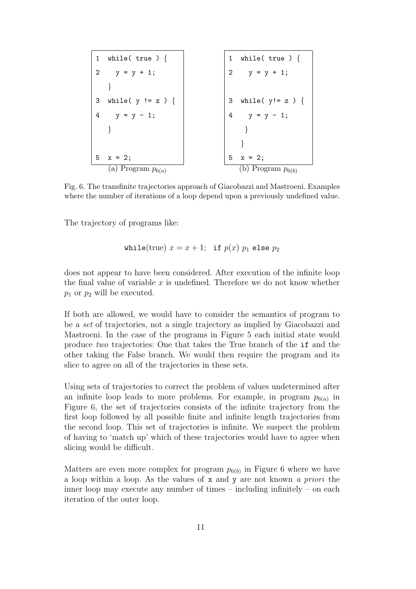

Fig. 6. The transfinite trajectories approach of Giacobazzi and Mastroeni. Examples where the number of iterations of a loop depend upon a previously undefined value.

The trajectory of programs like:

$$
\mathtt{while}(\mathrm{true})\,\, x = x + 1; \quad \mathtt{if} \,\, p(x) \,\, p_1 \,\, \mathtt{else} \,\, p_2
$$

does not appear to have been considered. After execution of the infinite loop the final value of variable  $x$  is undefined. Therefore we do not know whether  $p_1$  or  $p_2$  will be executed.

If both are allowed, we would have to consider the semantics of program to be a set of trajectories, not a single trajectory as implied by Giacobazzi and Mastroeni. In the case of the programs in Figure 5 each initial state would produce two trajectories: One that takes the True branch of the if and the other taking the False branch. We would then require the program and its slice to agree on all of the trajectories in these sets.

Using sets of trajectories to correct the problem of values undetermined after an infinite loop leads to more problems. For example, in program  $p_{6(a)}$  in Figure 6, the set of trajectories consists of the infinite trajectory from the first loop followed by all possible finite and infinite length trajectories from the second loop. This set of trajectories is infinite. We suspect the problem of having to 'match up' which of these trajectories would have to agree when slicing would be difficult.

Matters are even more complex for program  $p_{6(b)}$  in Figure 6 where we have a loop within a loop. As the values of x and y are not known a priori the inner loop may execute any number of times – including infinitely – on each iteration of the outer loop.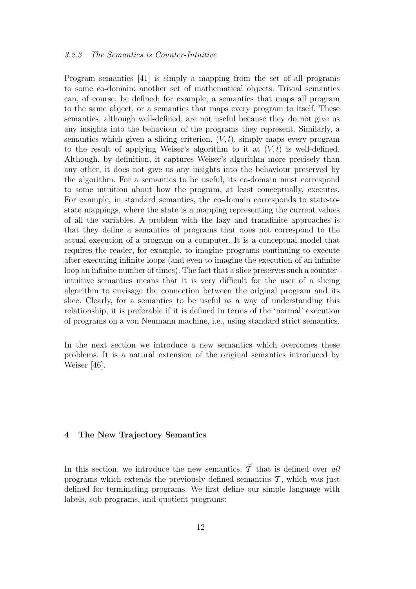#### 3.2.3 The Semantics is Counter-Intuitive

Program semantics [41] is simply a mapping from the set of all programs to some co-domain: another set of mathematical objects. Trivial semantics can, of course, be defined; for example, a semantics that maps all program to the same object, or a semantics that maps every program to itself. These semantics, although well-defined, are not useful because they do not give us any insights into the behaviour of the programs they represent. Similarly, a semantics which given a slicing criterion,  $(V, l)$ , simply maps every program to the result of applying Weiser's algorithm to it at  $(V, l)$  is well-defined. Although, by definition, it captures Weiser's algorithm more precisely than any other, it does not give us any insights into the behaviour preserved by the algorithm. For a semantics to be useful, its co-domain must correspond to some intuition about how the program, at least conceptually, executes. For example, in standard semantics, the co-domain corresponds to state-tostate mappings, where the state is a mapping representing the current values of all the variables. A problem with the lazy and transfinite approaches is that they define a semantics of programs that does not correspond to the actual execution of a program on a computer. It is a conceptual model that requires the reader, for example, to imagine programs continuing to execute after executing infinite loops (and even to imagine the execution of an infinite loop an infinite number of times). The fact that a slice preserves such a counterintuitive semantics means that it is very difficult for the user of a slicing algorithm to envisage the connection between the original program and its slice. Clearly, for a semantics to be useful as a way of understanding this relationship, it is preferable if it is defined in terms of the 'normal' execution of programs on a von Neumann machine, i.e., using standard strict semantics.

In the next section we introduce a new semantics which overcomes these problems. It is a natural extension of the original semantics introduced by Weiser [46].

#### 4 The New Trajectory Semantics

In this section, we introduce the new semantics,  $\vec{\mathcal{T}}$  that is defined over all programs which extends the previously defined semantics  $\mathcal T$ , which was just defined for terminating programs. We first define our simple language with labels, sub-programs, and quotient programs: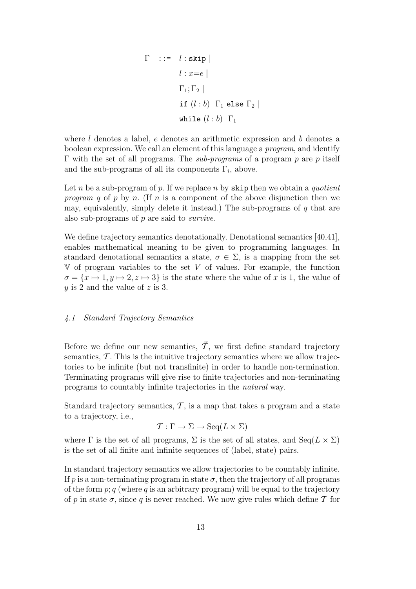$$
\begin{array}{rcl} \Gamma & ::= & l : \text{skip} \mid \\ & & & \\ & l : x = e \mid \\ & & & \\ \Gamma_1 ; \Gamma_2 \mid \\ & & & \\ \text{if} \ (l : b) \ \Gamma_1 \ \text{else} \ \Gamma_2 \mid \\ & & \\ \text{while} \ (l : b) \ \Gamma_1 \end{array}
$$

where  $l$  denotes a label,  $e$  denotes an arithmetic expression and  $b$  denotes a boolean expression. We call an element of this language a program, and identify  $Γ$  with the set of all programs. The *sub-programs* of a program *p* are *p* itself and the sub-programs of all its components  $\Gamma_i$ , above.

Let n be a sub-program of p. If we replace n by skip then we obtain a quotient program q of p by n. (If n is a component of the above disjunction then we may, equivalently, simply delete it instead.) The sub-programs of  $q$  that are also sub-programs of  $p$  are said to *survive*.

We define trajectory semantics denotationally. Denotational semantics [40,41], enables mathematical meaning to be given to programming languages. In standard denotational semantics a state,  $\sigma \in \Sigma$ , is a mapping from the set  $V$  of program variables to the set V of values. For example, the function  $\sigma = \{x \mapsto 1, y \mapsto 2, z \mapsto 3\}$  is the state where the value of x is 1, the value of  $y$  is 2 and the value of  $z$  is 3.

## 4.1 Standard Trajectory Semantics

Before we define our new semantics,  $\vec{\mathcal{T}}$ , we first define standard trajectory semantics,  $\mathcal T$ . This is the intuitive trajectory semantics where we allow trajectories to be infinite (but not transfinite) in order to handle non-termination. Terminating programs will give rise to finite trajectories and non-terminating programs to countably infinite trajectories in the natural way.

Standard trajectory semantics,  $\mathcal{T}$ , is a map that takes a program and a state to a trajectory, i.e.,

$$
\mathcal{T} : \Gamma \to \Sigma \to \text{Seq}(L \times \Sigma)
$$

where  $\Gamma$  is the set of all programs,  $\Sigma$  is the set of all states, and  $\text{Seq}(L \times \Sigma)$ is the set of all finite and infinite sequences of (label, state) pairs.

In standard trajectory semantics we allow trajectories to be countably infinite. If p is a non-terminating program in state  $\sigma$ , then the trajectory of all programs of the form  $p$ ; q (where q is an arbitrary program) will be equal to the trajectory of p in state  $\sigma$ , since q is never reached. We now give rules which define T for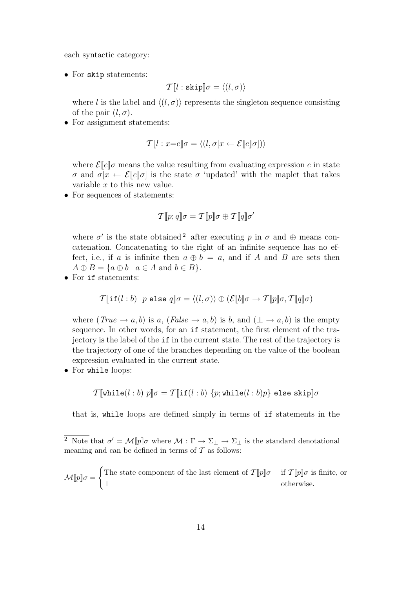each syntactic category:

• For skip statements:

$$
\mathcal{T}[\![l:\texttt{skip}]\!] \sigma = \langle (l,\sigma) \rangle
$$

where l is the label and  $\langle (l, \sigma) \rangle$  represents the singleton sequence consisting of the pair  $(l, \sigma)$ .

• For assignment statements:

$$
\mathcal{T}[\![l:x=e]\!] \sigma = \langle (l, \sigma[x \leftarrow \mathcal{E}[\![e]\!] \sigma]) \rangle
$$

where  $\mathcal{E}[\mathcal{E}]\sigma$  means the value resulting from evaluating expression e in state σ and  $\sigma$ [ $x \leftarrow \mathcal{E}[\mathscr{C}|\sigma]$ ] is the state σ 'updated' with the maplet that takes variable x to this new value.

• For sequences of statements:

$$
\mathcal{T}\llbracket p; q \rrbracket \sigma = \mathcal{T}\llbracket p \rrbracket \sigma \oplus \mathcal{T}\llbracket q \rrbracket \sigma'
$$

where  $\sigma'$  is the state obtained <sup>2</sup> after executing p in  $\sigma$  and  $\oplus$  means concatenation. Concatenating to the right of an infinite sequence has no effect, i.e., if a is infinite then  $a \oplus b = a$ , and if A and B are sets then  $A \oplus B = \{a \oplus b \mid a \in A \text{ and } b \in B\}.$ 

• For if statements:

$$
\mathcal{T}[\![\texttt{if}(l:b)\!] \ p \ \texttt{else}\ q]\!]\sigma = \langle(l,\sigma)\rangle \oplus (\mathcal{E}[\![b]\!] \sigma \to \mathcal{T}[\![p]\!] \sigma, \mathcal{T}[\![q]\!] \sigma)
$$

where  $(True \rightarrow a, b)$  is a,  $(False \rightarrow a, b)$  is b, and  $(\perp \rightarrow a, b)$  is the empty sequence. In other words, for an if statement, the first element of the trajectory is the label of the if in the current state. The rest of the trajectory is the trajectory of one of the branches depending on the value of the boolean expression evaluated in the current state.

• For while loops:

$$
\mathcal{T}[\![\mathtt{while}(l:b) \ p]\!] \sigma = \mathcal{T}[\![\mathtt{if}(l:b) \ \{p; \mathtt{while}(l:b)p\} \ \mathtt{else} \ \mathtt{skip}]\!] \sigma
$$

that is, while loops are defined simply in terms of if statements in the

$$
\mathcal{M}\llbracket p\rrbracket \sigma = \begin{cases} \text{The state component of the last element of } \mathcal{T}\llbracket p\rrbracket \sigma & \text{if } \mathcal{T}\llbracket p\rrbracket \sigma \text{ is finite, or} \\ \bot & \text{otherwise.} \end{cases}
$$

<sup>&</sup>lt;sup>2</sup> Note that  $\sigma' = \mathcal{M}\llbracket p \rrbracket \sigma$  where  $\mathcal{M}: \Gamma \to \Sigma_{\perp} \to \Sigma_{\perp}$  is the standard denotational meaning and can be defined in terms of  $\mathcal T$  as follows: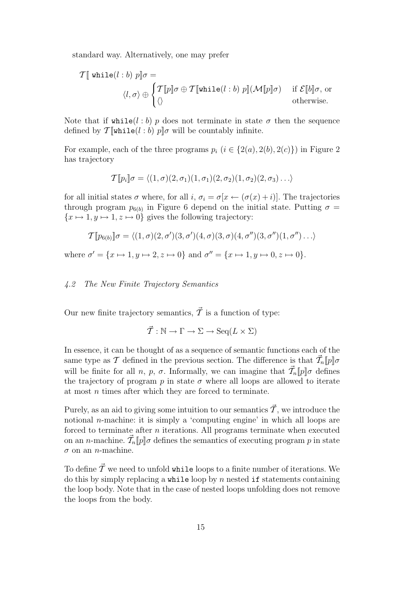standard way. Alternatively, one may prefer

$$
\mathcal{T}[\![\text{ while}(l:b) \ p]\!]\sigma = \n \langle l, \sigma \rangle \oplus \n \begin{cases}\n \mathcal{T}[\![p]\!] \sigma \oplus \mathcal{T}[\![\text{while}(l:b) \ p]\!](\mathcal{M}[\![p]\!] \sigma) & \text{if } \mathcal{E}[\![b]\!] \sigma, \text{ or} \\
 \langle \rangle & \text{otherwise.} \n \end{cases}
$$

Note that if  $\text{while}(l : b)$  p does not terminate in state  $\sigma$  then the sequence defined by  $\mathcal{T}[\text{while}(l : b) \ p] \sigma$  will be countably infinite.

For example, each of the three programs  $p_i$   $(i \in \{2(a), 2(b), 2(c)\})$  in Figure 2 has trajectory

$$
\mathcal{T}[\![p_i]\!] \sigma = \langle (1,\sigma)(2,\sigma_1)(1,\sigma_1)(2,\sigma_2)(1,\sigma_2)(2,\sigma_3) \ldots \rangle
$$

for all initial states  $\sigma$  where, for all  $i, \sigma_i = \sigma[x \leftarrow (\sigma(x) + i)]$ . The trajectories through program  $p_{6(b)}$  in Figure 6 depend on the initial state. Putting  $\sigma =$  ${x \mapsto 1, y \mapsto 1, z \mapsto 0}$  gives the following trajectory:

$$
\mathcal{T}[p_{6(b)}]\sigma = \langle (1,\sigma)(2,\sigma')(3,\sigma')(4,\sigma)(3,\sigma)(4,\sigma'')(3,\sigma'')(1,\sigma'')\ldots \rangle
$$

where  $\sigma' = \{x \mapsto 1, y \mapsto 2, z \mapsto 0\}$  and  $\sigma'' = \{x \mapsto 1, y \mapsto 0, z \mapsto 0\}.$ 

#### 4.2 The New Finite Trajectory Semantics

Our new finite trajectory semantics,  $\vec{\mathcal{T}}$  is a function of type:

$$
\vec{\mathcal{T}} : \mathbb{N} \to \Gamma \to \Sigma \to \text{Seq}(L \times \Sigma)
$$

In essence, it can be thought of as a sequence of semantic functions each of the same type as T defined in the previous section. The difference is that  $\vec{\mathcal{T}}_n[\![p]\!] \sigma$ will be finite for all n, p,  $\sigma$ . Informally, we can imagine that  $\vec{\mathcal{T}}_n[\![p]\!] \sigma$  defines the trajectory of program p in state  $\sigma$  where all loops are allowed to iterate at most n times after which they are forced to terminate.

Purely, as an aid to giving some intuition to our semantics  $\vec{\mathcal{T}}$ , we introduce the notional *n*-machine: it is simply a 'computing engine' in which all loops are forced to terminate after  $n$  iterations. All programs terminate when executed on an *n*-machine.  $\vec{\mathcal{T}}_n[\![p]\!] \sigma$  defines the semantics of executing program p in state  $\sigma$  on an *n*-machine.

To define  $\vec{T}$  we need to unfold while loops to a finite number of iterations. We do this by simply replacing a while loop by  $n$  nested if statements containing the loop body. Note that in the case of nested loops unfolding does not remove the loops from the body.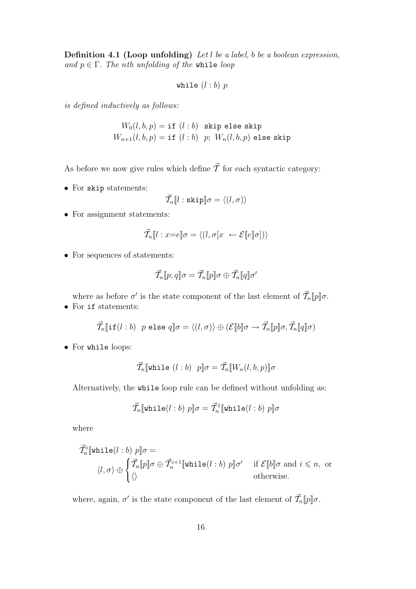**Definition 4.1 (Loop unfolding)** Let  $l$  be a label,  $b$  be a boolean expression, and  $p \in \Gamma$ . The nth unfolding of the while loop

$$
\mathtt{while}\ (l:b)\ p
$$

is defined inductively as follows:

$$
W_0(l,b,p) = \text{if } (l:b) \text{ skip else skip} \\ W_{n+1}(l,b,p) = \text{if } (l:b) \text{ p; } W_n(l,b,p) \text{ else skip}
$$

As before we now give rules which define  $\vec{\mathcal{T}}$  for each syntactic category:

• For skip statements:

$$
\vec{\mathcal{T}}_{n}\llbracket l:\mathtt{skip}\rrbracket\sigma=\langle(l,\sigma)\rangle
$$

• For assignment statements:

$$
\vec{\mathcal{T}}_n[l:x = e]\!\!\rceil \sigma = \langle (l, \sigma[x \leftarrow \mathcal{E}[\![e]\!] \sigma]) \rangle
$$

• For sequences of statements:

$$
\vec{\mathcal{T}}_{n}[\![p; q]\!] \sigma = \vec{\mathcal{T}}_{n}[\![p]\!] \sigma \oplus \vec{\mathcal{T}}_{n}[\![q]\!] \sigma'
$$

where as before  $\sigma'$  is the state component of the last element of  $\vec{\mathcal{T}}_n[\![p]\!] \sigma$ .

• For if statements:

$$
\vec{\mathcal{T}}_n[\![\texttt{if}(l:b)\!] \ p\ \texttt{else}\ q]\!] \sigma = \langle(l,\sigma) \rangle \oplus (\mathcal{E}[\![b]\!]\sigma \to \vec{\mathcal{T}}_n[\![p]\!]\sigma, \vec{\mathcal{T}}_n[\![q]\!]\sigma)
$$

• For while loops:

$$
\vec{\mathcal{T}}_n[\![\text{while }(l:b)\ \ p]\!] \sigma = \vec{\mathcal{T}}_n[\![W_n(l,b,p)]\!] \sigma
$$

Alternatively, the while loop rule can be defined without unfolding as:

$$
\vec{\mathcal{T}}_n[\![\mathtt{while}(l:b) \ p]\!] \sigma = \vec{\mathcal{T}}_n^1[\![\mathtt{while}(l:b) \ p]\!] \sigma
$$

where

$$
\vec{\mathcal{T}}_n^i[\![\mathtt{while}(l:b) \ p]\!] \sigma =
$$
\n
$$
\langle l, \sigma \rangle \oplus \begin{cases} \vec{\mathcal{T}}_n[\![p]\!] \sigma \oplus \vec{\mathcal{T}}_n^{i+1}[\![\mathtt{while}(l:b) \ p]\!] \sigma' & \text{if } \mathcal{E}[\![b]\!] \sigma \text{ and } i \leq n, \text{ or} \\ \langle \rangle & \text{otherwise.} \end{cases}
$$

where, again,  $\sigma'$  is the state component of the last element of  $\vec{\mathcal{T}}_{n}[\![p]\!] \sigma$ .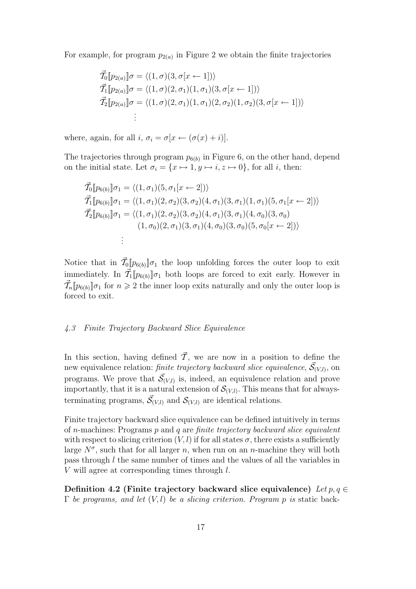For example, for program  $p_{2(a)}$  in Figure 2 we obtain the finite trajectories

$$
\vec{\mathcal{T}}_0[p_{2(a)}]\sigma = \langle (1,\sigma)(3,\sigma[x \leftarrow 1]) \rangle \n\vec{\mathcal{T}}_1[p_{2(a)}]\sigma = \langle (1,\sigma)(2,\sigma_1)(1,\sigma_1)(3,\sigma[x \leftarrow 1]) \rangle \n\vec{\mathcal{T}}_2[p_{2(a)}]\sigma = \langle (1,\sigma)(2,\sigma_1)(1,\sigma_1)(2,\sigma_2)(1,\sigma_2)(3,\sigma[x \leftarrow 1]) \rangle \n\vdots
$$

where, again, for all  $i, \sigma_i = \sigma[x \leftarrow (\sigma(x) + i)].$ 

The trajectories through program  $p_{6(b)}$  in Figure 6, on the other hand, depend on the initial state. Let  $\sigma_i = \{x \mapsto 1, y \mapsto i, z \mapsto 0\}$ , for all i, then:

$$
\vec{\mathcal{T}}_0[\![p_{6(b)}]\!] \sigma_1 = \langle (1,\sigma_1)(5,\sigma_1[x \leftarrow 2]) \rangle \n\vec{\mathcal{T}}_1[\![p_{6(b)}]\!] \sigma_1 = \langle (1,\sigma_1)(2,\sigma_2)(3,\sigma_2)(4,\sigma_1)(3,\sigma_1)(1,\sigma_1)(5,\sigma_1[x \leftarrow 2]) \rangle \n\vec{\mathcal{T}}_2[\![p_{6(b)}]\!] \sigma_1 = \langle (1,\sigma_1)(2,\sigma_2)(3,\sigma_2)(4,\sigma_1)(3,\sigma_1)(4,\sigma_0)(3,\sigma_0) \n(1,\sigma_0)(2,\sigma_1)(3,\sigma_1)(4,\sigma_0)(3,\sigma_0)(5,\sigma_0[x \leftarrow 2]) \rangle \n\vdots
$$

Notice that in  $\vec{T}_0[\![p_{6(b)}]\!] \sigma_1$  the loop unfolding forces the outer loop to exit immediately. In  $\vec{\mathcal{T}}_1[\![p_{6(b)}]\!] \sigma_1$  both loops are forced to exit early. However in  $\vec{\mathcal{T}}_n[\![p_{6(b)}]\!] \sigma_1$  for  $n \geq 2$  the inner loop exits naturally and only the outer loop is forced to exit.

#### 4.3 Finite Trajectory Backward Slice Equivalence

In this section, having defined  $\vec{\mathcal{T}}$ , we are now in a position to define the new equivalence relation: *finite trajectory backward slice equivalence*,  $\vec{S}_{(V,l)}$ , on programs. We prove that  $\vec{S}_{(V,l)}$  is, indeed, an equivalence relation and prove importantly, that it is a natural extension of  $\mathcal{S}_{(V,l)}$ . This means that for alwaysterminating programs,  $\vec{S}_{(V,l)}$  and  $S_{(V,l)}$  are identical relations.

Finite trajectory backward slice equivalence can be defined intuitively in terms of *n*-machines: Programs  $p$  and  $q$  are *finite trajectory backward slice equivalent* with respect to slicing criterion  $(V, l)$  if for all states  $\sigma$ , there exists a sufficiently large  $N^{\sigma}$ , such that for all larger n, when run on an n-machine they will both pass through l the same number of times and the values of all the variables in V will agree at corresponding times through l.

Definition 4.2 (Finite trajectory backward slice equivalence) Let  $p, q \in$  $\Gamma$  be programs, and let  $(V, l)$  be a slicing criterion. Program p is static back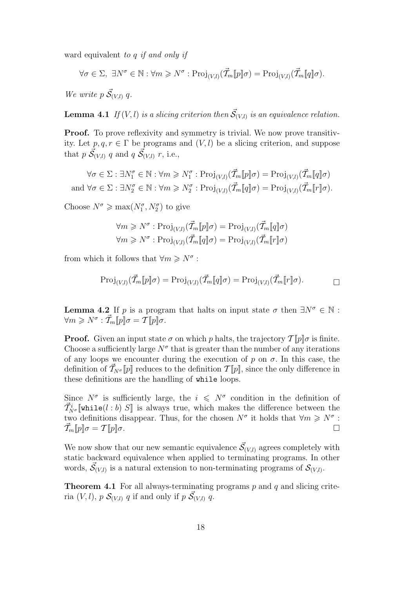ward equivalent to q if and only if

$$
\forall \sigma \in \Sigma, \ \exists N^{\sigma} \in \mathbb{N} : \forall m \geq N^{\sigma} : \mathrm{Proj}_{(V,l)}(\vec{\mathcal{T}}_{m}[\![p]\!]\sigma) = \mathrm{Proj}_{(V,l)}(\vec{\mathcal{T}}_{m}[\![q]\!]\sigma).
$$

We write  $p \vec{S}_{(V,l)} q$ .

**Lemma 4.1** If  $(V, l)$  is a slicing criterion then  $\vec{S}_{(V, l)}$  is an equivalence relation.

**Proof.** To prove reflexivity and symmetry is trivial. We now prove transitivity. Let  $p, q, r \in \Gamma$  be programs and  $(V, l)$  be a slicing criterion, and suppose that  $p \, \vec{\mathcal{S}}_{(V,l)} q$  and  $q \, \vec{\mathcal{S}}_{(V,l)} r$ , i.e.,

$$
\forall \sigma \in \Sigma : \exists N_1^{\sigma} \in \mathbb{N} : \forall m \geq N_1^{\sigma} : \text{Proj}_{(V,l)}(\vec{\mathcal{T}}_m[\![p]\!]\sigma) = \text{Proj}_{(V,l)}(\vec{\mathcal{T}}_m[\![q]\!]\sigma)
$$
  
and  $\forall \sigma \in \Sigma : \exists N_2^{\sigma} \in \mathbb{N} : \forall m \geq N_2^{\sigma} : \text{Proj}_{(V,l)}(\vec{\mathcal{T}}_m[\![q]\!]\sigma) = \text{Proj}_{(V,l)}(\vec{\mathcal{T}}_m[\![r]\!]\sigma).$ 

Choose  $N^{\sigma} \ge \max(N_1^{\sigma}, N_2^{\sigma})$  to give

$$
\forall m \geq N^{\sigma} : \text{Proj}_{(V,l)}(\vec{\mathcal{T}}_m[\![p]\!]\sigma) = \text{Proj}_{(V,l)}(\vec{\mathcal{T}}_m[\![q]\!]\sigma)
$$

$$
\forall m \geq N^{\sigma} : \text{Proj}_{(V,l)}(\vec{\mathcal{T}}_m[\![q]\!]\sigma) = \text{Proj}_{(V,l)}(\vec{\mathcal{T}}_m[\![r]\!]\sigma)
$$

from which it follows that  $\forall m \geq N^{\sigma}$ :

$$
\operatorname{Proj}_{(V,l)}(\vec{\mathcal{T}}_m[\![p]\!]\sigma) = \operatorname{Proj}_{(V,l)}(\vec{\mathcal{T}}_m[\![q]\!]\sigma) = \operatorname{Proj}_{(V,l)}(\vec{\mathcal{T}}_m[\![r]\!]\sigma).
$$

**Lemma 4.2** If p is a program that halts on input state  $\sigma$  then  $\exists N^{\sigma} \in \mathbb{N}$ :  $\forall m\geqslant N^{\sigma}:\vec{\mathcal{T}}_{m}[\![p]\!] \sigma =\tilde{\mathcal{T}}[\![p]\!] \sigma.$ 

**Proof.** Given an input state  $\sigma$  on which p halts, the trajectory  $\mathcal{T}[\![p]\!] \sigma$  is finite. Choose a sufficiently large  $N^{\sigma}$  that is greater than the number of any iterations of any loops we encounter during the execution of  $p$  on  $\sigma$ . In this case, the definition of  $\vec{\mathcal{T}}_{N^{\sigma}}[p]$  reduces to the definition  $\mathcal{T}[p]$ , since the only difference in these definitions are the handling of while loops.

Since  $N^{\sigma}$  is sufficiently large, the  $i \leq N^{\sigma}$  condition in the definition of  $\vec{\mathcal{T}}_{N^{\sigma}}^{i}[\![\texttt{while}(l:b) \; S]\!]$  is always true, which makes the difference between the two definitions disappear. Thus, for the chosen  $N^{\sigma}$  it holds that  $\forall m \geq N^{\sigma}$ :  $\mathcal{T}_m[p]\sigma = \mathcal{T}[p]\sigma.$ 

We now show that our new semantic equivalence  $\vec{\mathcal{S}}_{(V,l)}$  agrees completely with static backward equivalence when applied to terminating programs. In other words,  $\vec{S}_{(V,l)}$  is a natural extension to non-terminating programs of  $S_{(V,l)}$ .

**Theorem 4.1** For all always-terminating programs p and q and slicing criteria  $(V, l)$ , p  $\mathcal{S}_{(V, l)}$  q if and only if p  $\overline{\mathcal{S}}_{(V, l)}$  q.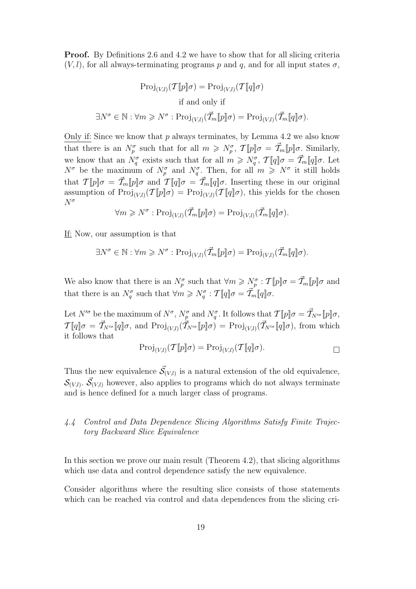**Proof.** By Definitions 2.6 and 4.2 we have to show that for all slicing criteria  $(V, l)$ , for all always-terminating programs p and q, and for all input states  $\sigma$ ,

$$
\text{Proj}_{(V,l)}(\mathcal{T}\llbracket p \rrbracket \sigma) = \text{Proj}_{(V,l)}(\mathcal{T}\llbracket q \rrbracket \sigma)
$$
\nif and only if

\n
$$
\exists N^{\sigma} \in \mathbb{N} : \forall m \geqslant N^{\sigma} : \text{Proj}_{(V,l)}(\vec{\mathcal{T}}_m \llbracket p \rrbracket \sigma) = \text{Proj}_{(V,l)}(\vec{\mathcal{T}}_m \llbracket q \rrbracket \sigma).
$$

Only if: Since we know that  $p$  always terminates, by Lemma 4.2 we also know that there is an  $N_p^{\sigma}$  such that for all  $m \geq N_p^{\sigma}$ ,  $\mathcal{T}[p]\sigma = \vec{\mathcal{T}}_m[p]\sigma$ . Similarly, we know that an  $N_q^{\sigma}$  exists such that for all  $m \geq N_q^{\sigma}$ ,  $\mathcal{T}[q]\sigma = \vec{\mathcal{T}}_m[[q]\sigma]$ . Let  $N^{\sigma}$  be the maximum of  $N_p^{\sigma}$  and  $N_q^{\sigma}$ . Then, for all  $m \geq N^{\sigma}$  it still holds that  $\mathcal{T}[\![p]\!]_{\sigma} = \vec{\mathcal{T}}_m[\![p]\!]_{\sigma}$  and  $\mathcal{T}[\![q]\!]_{\sigma} = \vec{\mathcal{T}}_m[\![q]\!]_{\sigma}$ . Inserting these in our original assumption of  $\text{Proj}_{(V,U)}(\mathcal{T}\llbracket p \rrbracket \sigma) = \text{Proj}_{(V,U)}(\mathcal{T}\llbracket q \rrbracket \sigma)$ , this yields for the chosen  $N^{\sigma}$ 

$$
\forall m \geq N^{\sigma} : \mathrm{Proj}_{(V,l)}(\vec{\mathcal{T}}_m[\![p]\!]\sigma) = \mathrm{Proj}_{(V,l)}(\vec{\mathcal{T}}_m[\![q]\!]\sigma).
$$

If: Now, our assumption is that

$$
\exists N^{\sigma} \in \mathbb{N}: \forall m \geqslant N^{\sigma} : \mathrm{Proj}_{(V,l)}(\vec{\mathcal{I}}_m[\![p]\!]\sigma) = \mathrm{Proj}_{(V,l)}(\vec{\mathcal{I}}_m[\![q]\!]\sigma).
$$

We also know that there is an  $N_p^{\sigma}$  such that  $\forall m \geqslant N_p^{\sigma} : T[\![p]\!] \sigma = \vec{\mathcal{T}}_m[\![p]\!] \sigma$  and that there is an  $N_q^{\sigma}$  such that  $\forall m \geqslant N_q^{\sigma} : \mathcal{T}\llbracket q \rrbracket \sigma = \overrightarrow{\mathcal{T}}_m \llbracket q \rrbracket \sigma.$ 

Let  $N'^{\sigma}$  be the maximum of  $N^{\sigma}$ ,  $N_p^{\sigma}$  and  $N_q^{\sigma}$ . It follows that  $\mathcal{T}\llbracket p \rrbracket \sigma = \vec{\mathcal{T}}_{N'^{\sigma}}\llbracket p \rrbracket \sigma$ ,  $\mathcal{T}\llbracket q \rrbracket \sigma = \vec{\mathcal{T}}_{N'\sigma} \llbracket q \rrbracket \sigma$ , and  $\text{Proj}_{(V,l)}(\vec{\mathcal{T}}_{N'\sigma} \llbracket p \rrbracket \sigma) = \text{Proj}_{(V,l)}(\vec{\mathcal{T}}_{N'\sigma} \llbracket q \rrbracket \sigma)$ , from which it follows that

$$
\mathrm{Proj}_{(V,l)}(\mathcal{T}\llbracket p\rrbracket \sigma) = \mathrm{Proj}_{(V,l)}(\mathcal{T}\llbracket q\rrbracket \sigma).
$$

Thus the new equivalence  $\vec{\mathcal{S}}_{(V,l)}$  is a natural extension of the old equivalence,  $\mathcal{S}_{(V,l)}$ .  $\vec{\mathcal{S}}_{(V,l)}$  however, also applies to programs which do not always terminate and is hence defined for a much larger class of programs.

# 4.4 Control and Data Dependence Slicing Algorithms Satisfy Finite Trajectory Backward Slice Equivalence

In this section we prove our main result (Theorem 4.2), that slicing algorithms which use data and control dependence satisfy the new equivalence.

Consider algorithms where the resulting slice consists of those statements which can be reached via control and data dependences from the slicing cri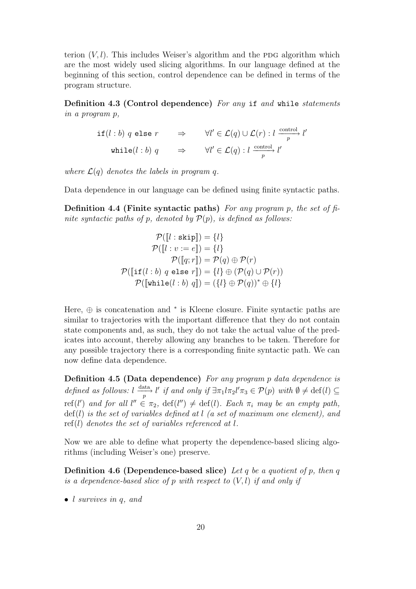terion  $(V, l)$ . This includes Weiser's algorithm and the PDG algorithm which are the most widely used slicing algorithms. In our language defined at the beginning of this section, control dependence can be defined in terms of the program structure.

Definition 4.3 (Control dependence) For any if and while statements in a program p,

$$
\begin{array}{rcl}\n\text{if } (l:b) \ q \ \text{else } r & \Rightarrow & \forall l' \in \mathcal{L}(q) \cup \mathcal{L}(r) : l \xrightarrow{control} l' \\
\text{while } (l:b) \ q & \Rightarrow & \forall l' \in \mathcal{L}(q) : l \xrightarrow{control} l' \\
\end{array}
$$

where  $\mathcal{L}(q)$  denotes the labels in program q.

Data dependence in our language can be defined using finite syntactic paths.

**Definition 4.4 (Finite syntactic paths)** For any program p, the set of finite syntactic paths of p, denoted by  $\mathcal{P}(p)$ , is defined as follows:

$$
\mathcal{P}(\llbracket l : \textsf{skip} \rrbracket) = \{ l \} \\ \mathcal{P}(\llbracket l : v := e \rrbracket) = \{ l \} \\ \mathcal{P}(\llbracket l : v := e \rrbracket) = \mathcal{P}(q) \oplus \mathcal{P}(r) \\ \mathcal{P}(\llbracket \texttt{if}(l : b) \ q \texttt{ else } r \rrbracket) = \{ l \} \oplus (\mathcal{P}(q) \cup \mathcal{P}(r)) \\ \mathcal{P}(\llbracket \texttt{while}(l : b) \ q \rrbracket) = (\{ l \} \oplus \mathcal{P}(q))^* \oplus \{ l \}
$$

Here, ⊕ is concatenation and <sup>∗</sup> is Kleene closure. Finite syntactic paths are similar to trajectories with the important difference that they do not contain state components and, as such, they do not take the actual value of the predicates into account, thereby allowing any branches to be taken. Therefore for any possible trajectory there is a corresponding finite syntactic path. We can now define data dependence.

Definition 4.5 (Data dependence) For any program p data dependence is defined as follows:  $l \frac{data}{p} l'$  if and only if  $\exists \pi_1 l \pi_2 l' \pi_3 \in \mathcal{P}(p)$  with  $\emptyset \neq \text{def}(l) \subseteq$ ref(l') and for all  $l'' \in \pi_2$ ,  $\text{def}(l'') \neq \text{def}(l)$ . Each  $\pi_i$  may be an empty path,  $\text{def}(l)$  is the set of variables defined at l (a set of maximum one element), and  $ref(l)$  denotes the set of variables referenced at l.

Now we are able to define what property the dependence-based slicing algorithms (including Weiser's one) preserve.

**Definition 4.6 (Dependence-based slice)** Let q be a quotient of p, then q is a dependence-based slice of p with respect to  $(V, l)$  if and only if

• *l* survives in q, and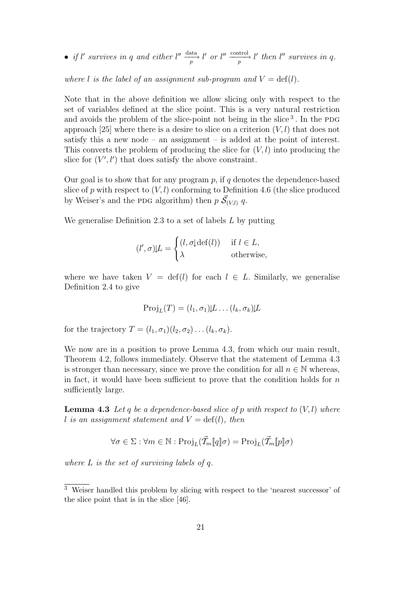• if l' survives in q and either  $l''$   $\frac{data}{p}$  l' or l''  $\frac{control}{p}$  l' then l'' survives in q.

where l is the label of an assignment sub-program and  $V = def(l)$ .

Note that in the above definition we allow slicing only with respect to the set of variables defined at the slice point. This is a very natural restriction and avoids the problem of the slice-point not being in the slice<sup>3</sup>. In the PDG approach [25] where there is a desire to slice on a criterion  $(V, l)$  that does not satisfy this a new node – an assignment – is added at the point of interest. This converts the problem of producing the slice for  $(V, l)$  into producing the slice for  $(V', l')$  that does satisfy the above constraint.

Our goal is to show that for any program  $p$ , if  $q$  denotes the dependence-based slice of p with respect to  $(V, l)$  conforming to Definition 4.6 (the slice produced by Weiser's and the PDG algorithm) then  $p \vec{S}_{(V,l)} q$ .

We generalise Definition 2.3 to a set of labels  $L$  by putting

$$
(l', \sigma)\!\!\downarrow L = \begin{cases} (l, \sigma\!\!\downarrow \det(l)) & \text{if } l \in L, \\ \lambda & \text{otherwise,} \end{cases}
$$

where we have taken  $V = \text{def}(l)$  for each  $l \in L$ . Similarly, we generalise Definition 2.4 to give

$$
\mathrm{Proj}_L(T) = (l_1, \sigma_1) \downarrow L \dots (l_k, \sigma_k) \downarrow L
$$

for the trajectory  $T = (l_1, \sigma_1)(l_2, \sigma_2) \dots (l_k, \sigma_k)$ .

We now are in a position to prove Lemma 4.3, from which our main result, Theorem 4.2, follows immediately. Observe that the statement of Lemma 4.3 is stronger than necessary, since we prove the condition for all  $n \in \mathbb{N}$  whereas, in fact, it would have been sufficient to prove that the condition holds for  $n$ sufficiently large.

**Lemma 4.3** Let q be a dependence-based slice of p with respect to  $(V, l)$  where l is an assignment statement and  $V = def(l)$ , then

$$
\forall \sigma \in \Sigma : \forall m \in \mathbb{N} : \mathrm{Proj}_{L}(\vec{\mathcal{T}}_{m}[\![q]\!]\sigma) = \mathrm{Proj}_{L}(\vec{\mathcal{T}}_{m}[\![p]\!]\sigma)
$$

where  $L$  is the set of surviving labels of q.

 $\overline{3}$  Weiser handled this problem by slicing with respect to the 'nearest successor' of the slice point that is in the slice [46].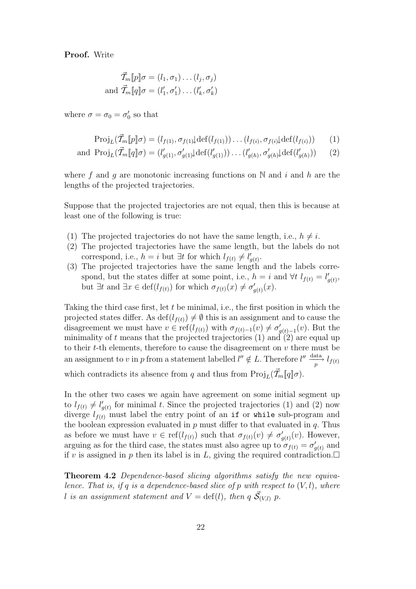Proof. Write

$$
\vec{\mathcal{T}}_m[\![p]\!]\sigma = (l_1, \sigma_1) \dots (l_j, \sigma_j)
$$
  
and 
$$
\vec{\mathcal{T}}_m[\![q]\!]\sigma = (l'_1, \sigma'_1) \dots (l'_k, \sigma'_k)
$$

where  $\sigma = \sigma_0 = \sigma'_0$  so that

$$
\text{Proj}_{L}(\vec{\mathcal{T}}_{m}[\![p]\!]\sigma) = (l_{f(1)}, \sigma_{f(1)}\downarrow \text{def}(l_{f(1)})) \dots (l_{f(i)}, \sigma_{f(i)}\downarrow \text{def}(l_{f(i)})) \tag{1}
$$

and 
$$
\text{Proj}_{L}(\vec{\mathcal{T}}_{m}[\![q]\!]\sigma) = (l'_{g(1)}, \sigma'_{g(1)}\downarrow \text{def}(l'_{g(1)})) \dots (l'_{g(h)}, \sigma'_{g(h)}\downarrow \text{def}(l'_{g(h)}))
$$
 (2)

where f and q are monotonic increasing functions on  $\mathbb N$  and i and h are the lengths of the projected trajectories.

Suppose that the projected trajectories are not equal, then this is because at least one of the following is true:

- (1) The projected trajectories do not have the same length, i.e.,  $h \neq i$ .
- (2) The projected trajectories have the same length, but the labels do not correspond, i.e.,  $h = i$  but  $\exists t$  for which  $l_{f(t)} \neq l'_{g(t)}$ .
- (3) The projected trajectories have the same length and the labels correspond, but the states differ at some point, i.e.,  $h = i$  and  $\forall t$   $l_{f(t)} = l'_{g(t)}$ , but  $\exists t$  and  $\exists x \in \text{def}(l_{f(t)})$  for which  $\sigma_{f(t)}(x) \neq \sigma'_{g(t)}(x)$ .

Taking the third case first, let t be minimal, i.e., the first position in which the projected states differ. As def( $l_{f(t)}$ )  $\neq \emptyset$  this is an assignment and to cause the disagreement we must have  $v \in \text{ref}(l_{f(t)})$  with  $\sigma_{f(t)-1}(v) \neq \sigma'_{g(t)-1}(v)$ . But the minimality of  $t$  means that the projected trajectories  $(1)$  and  $(2)$  are equal up to their  $t$ -th elements, therefore to cause the disagreement on  $v$  there must be an assignment to v in p from a statement labelled  $l'' \notin L$ . Therefore  $l'' \frac{data}{p} l_{f(t)}$ which contradicts its absence from q and thus from  $\text{Proj}_L(\vec{\mathcal{T}}_m[[q]]\sigma)$ .

In the other two cases we again have agreement on some initial segment up to  $l_{f(t)} \neq l'_{g(t)}$  for minimal t. Since the projected trajectories (1) and (2) now diverge  $l_{f(t)}$  must label the entry point of an if or while sub-program and the boolean expression evaluated in  $p$  must differ to that evaluated in  $q$ . Thus as before we must have  $v \in \text{ref}(l_{f(t)})$  such that  $\sigma_{f(t)}(v) \neq \sigma'_{g(t)}(v)$ . However, arguing as for the third case, the states must also agree up to  $\sigma_{f(t)} = \sigma'_{g(t)}$  and if v is assigned in p then its label is in L, giving the required contradiction.

Theorem 4.2 Dependence-based slicing algorithms satisfy the new equivalence. That is, if q is a dependence-based slice of p with respect to  $(V, l)$ , where l is an assignment statement and  $V = \text{def}(l)$ , then  $q \, \vec{\mathcal{S}}_{(V,l)}$  p.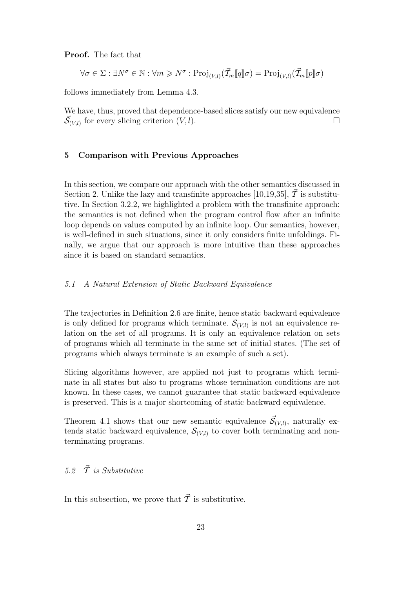Proof. The fact that

$$
\forall \sigma \in \Sigma : \exists N^{\sigma} \in \mathbb{N} : \forall m \geqslant N^{\sigma} : \mathrm{Proj}_{(V,l)}(\vec{\mathcal{T}}_{m}[\![q]\!]\sigma) = \mathrm{Proj}_{(V,l)}(\vec{\mathcal{T}}_{m}[\![p]\!]\sigma)
$$

follows immediately from Lemma 4.3.

We have, thus, proved that dependence-based slices satisfy our new equivalence  $\vec{S}_{(V,l)}$  for every slicing criterion  $(V, l)$ .

## 5 Comparison with Previous Approaches

In this section, we compare our approach with the other semantics discussed in Section 2. Unlike the lazy and transfinite approaches [10,19,35],  $\vec{\mathcal{T}}$  is substitutive. In Section 3.2.2, we highlighted a problem with the transfinite approach: the semantics is not defined when the program control flow after an infinite loop depends on values computed by an infinite loop. Our semantics, however, is well-defined in such situations, since it only considers finite unfoldings. Finally, we argue that our approach is more intuitive than these approaches since it is based on standard semantics.

#### 5.1 A Natural Extension of Static Backward Equivalence

The trajectories in Definition 2.6 are finite, hence static backward equivalence is only defined for programs which terminate.  $\mathcal{S}_{(V,l)}$  is not an equivalence relation on the set of all programs. It is only an equivalence relation on sets of programs which all terminate in the same set of initial states. (The set of programs which always terminate is an example of such a set).

Slicing algorithms however, are applied not just to programs which terminate in all states but also to programs whose termination conditions are not known. In these cases, we cannot guarantee that static backward equivalence is preserved. This is a major shortcoming of static backward equivalence.

Theorem 4.1 shows that our new semantic equivalence  $\vec{S}_{(V,l)}$ , naturally extends static backward equivalence,  $S_{(V,l)}$  to cover both terminating and nonterminating programs.

# 5.2  $\vec{\mathcal{T}}$  is Substitutive

In this subsection, we prove that  $\vec{\mathcal{T}}$  is substitutive.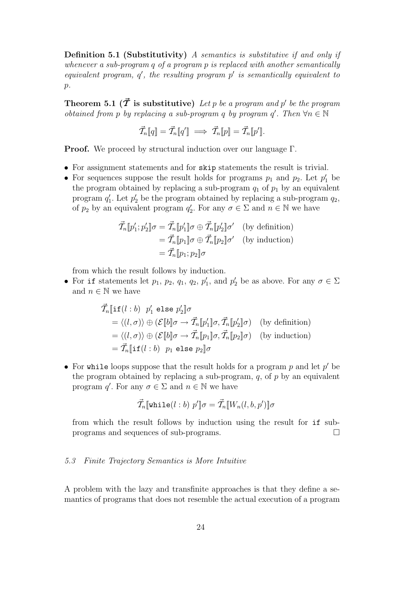Definition 5.1 (Substitutivity) A semantics is substitutive if and only if whenever a sub-program q of a program p is replaced with another semantically equivalent program,  $q'$ , the resulting program  $p'$  is semantically equivalent to  $p$ .

Theorem 5.1 ( $\vec{T}$  is substitutive) Let p be a program and p' be the program obtained from p by replacing a sub-program q by program q'. Then  $\forall n \in \mathbb{N}$ 

$$
\vec{\mathcal{T}}_{n}[\![q]\!]=\vec{\mathcal{T}}_{n}[\![q']\!]\implies \vec{\mathcal{T}}_{n}[\![p]\!]=\vec{\mathcal{T}}_{n}[\![p']\!].
$$

**Proof.** We proceed by structural induction over our language  $\Gamma$ .

- For assignment statements and for skip statements the result is trivial.
- For sequences suppose the result holds for programs  $p_1$  and  $p_2$ . Let  $p'_1$  be the program obtained by replacing a sub-program  $q_1$  of  $p_1$  by an equivalent program  $q_1'$ . Let  $p_2'$  be the program obtained by replacing a sub-program  $q_2$ , of  $p_2$  by an equivalent program  $q'_2$ . For any  $\sigma \in \Sigma$  and  $n \in \mathbb{N}$  we have

$$
\vec{\mathcal{T}}_n[\![p_1';p_2']\!] \sigma = \vec{\mathcal{T}}_n[\![p_1']\!] \sigma \oplus \vec{\mathcal{T}}_n[\![p_2']\!] \sigma' \quad \text{(by definition)}
$$
\n
$$
= \vec{\mathcal{T}}_n[\![p_1]\!] \sigma \oplus \vec{\mathcal{T}}_n[\![p_2]\!] \sigma' \quad \text{(by induction)}
$$
\n
$$
= \vec{\mathcal{T}}_n[\![p_1; p_2]\!] \sigma
$$

from which the result follows by induction.

• For if statements let  $p_1$ ,  $p_2$ ,  $q_1$ ,  $q_2$ ,  $p'_1$ , and  $p'_2$  be as above. For any  $\sigma \in \Sigma$ and  $n \in \mathbb{N}$  we have

$$
\vec{\mathcal{T}}_n[\![\mathbf{if}(l:b) \ p'_1 \text{ else } p'_2]\!] \sigma
$$
\n
$$
= \langle (l,\sigma) \rangle \oplus (\mathcal{E}[\![b]\!] \sigma \to \vec{\mathcal{T}}_n[\![p'_1]\!] \sigma, \vec{\mathcal{T}}_n[\![p'_2]\!] \sigma)
$$
 (by definition)\n
$$
= \langle (l,\sigma) \rangle \oplus (\mathcal{E}[\![b]\!] \sigma \to \vec{\mathcal{T}}_n[\![p_1]\!] \sigma, \vec{\mathcal{T}}_n[\![p_2]\!] \sigma)
$$
 (by induction)\n
$$
= \vec{\mathcal{T}}_n[\![\mathbf{if}(l:b) \ p_1 \text{ else } p_2]\!] \sigma
$$

• For while loops suppose that the result holds for a program  $p$  and let  $p'$  be the program obtained by replacing a sub-program,  $q$ , of p by an equivalent program q'. For any  $\sigma \in \Sigma$  and  $n \in \mathbb{N}$  we have

$$
\vec{\mathcal{T}}_n[\![\mathtt{while}(l:b)\ p']\!] \sigma = \vec{\mathcal{T}}_n[\![W_n(l,b,p')]\!] \sigma
$$

from which the result follows by induction using the result for if subprograms and sequences of sub-programs.

#### 5.3 Finite Trajectory Semantics is More Intuitive

A problem with the lazy and transfinite approaches is that they define a semantics of programs that does not resemble the actual execution of a program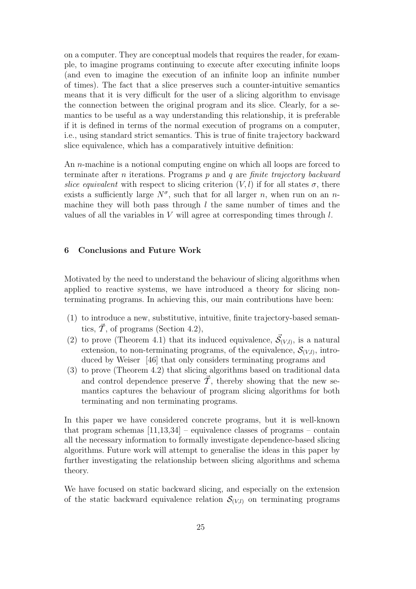on a computer. They are conceptual models that requires the reader, for example, to imagine programs continuing to execute after executing infinite loops (and even to imagine the execution of an infinite loop an infinite number of times). The fact that a slice preserves such a counter-intuitive semantics means that it is very difficult for the user of a slicing algorithm to envisage the connection between the original program and its slice. Clearly, for a semantics to be useful as a way understanding this relationship, it is preferable if it is defined in terms of the normal execution of programs on a computer, i.e., using standard strict semantics. This is true of finite trajectory backward slice equivalence, which has a comparatively intuitive definition:

An n-machine is a notional computing engine on which all loops are forced to terminate after n iterations. Programs  $p$  and  $q$  are *finite trajectory backward* slice equivalent with respect to slicing criterion  $(V, l)$  if for all states  $\sigma$ , there exists a sufficiently large  $N^{\sigma}$ , such that for all larger n, when run on an nmachine they will both pass through  $l$  the same number of times and the values of all the variables in  $V$  will agree at corresponding times through  $l$ .

# 6 Conclusions and Future Work

Motivated by the need to understand the behaviour of slicing algorithms when applied to reactive systems, we have introduced a theory for slicing nonterminating programs. In achieving this, our main contributions have been:

- (1) to introduce a new, substitutive, intuitive, finite trajectory-based semantics,  $\vec{T}$ , of programs (Section 4.2),
- (2) to prove (Theorem 4.1) that its induced equivalence,  $\vec{S}_{(V,l)}$ , is a natural extension, to non-terminating programs, of the equivalence,  $\mathcal{S}_{(V,l)}$ , introduced by Weiser [46] that only considers terminating programs and
- (3) to prove (Theorem 4.2) that slicing algorithms based on traditional data and control dependence preserve  $\vec{\mathcal{T}}$ , thereby showing that the new semantics captures the behaviour of program slicing algorithms for both terminating and non terminating programs.

In this paper we have considered concrete programs, but it is well-known that program schemas  $[11,13,34]$  – equivalence classes of programs – contain all the necessary information to formally investigate dependence-based slicing algorithms. Future work will attempt to generalise the ideas in this paper by further investigating the relationship between slicing algorithms and schema theory.

We have focused on static backward slicing, and especially on the extension of the static backward equivalence relation  $\mathcal{S}_{(V,l)}$  on terminating programs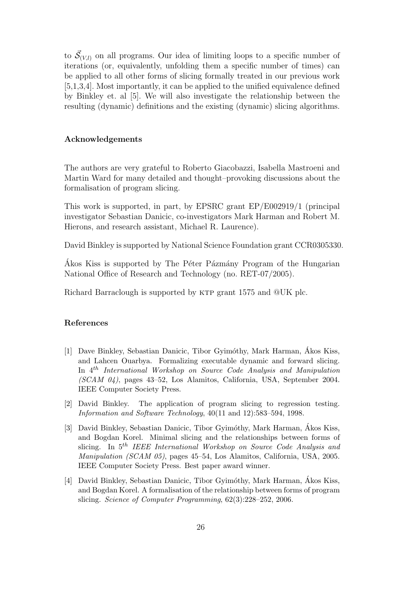to  $\vec{S}_{(V,l)}$  on all programs. Our idea of limiting loops to a specific number of iterations (or, equivalently, unfolding them a specific number of times) can be applied to all other forms of slicing formally treated in our previous work [5,1,3,4]. Most importantly, it can be applied to the unified equivalence defined by Binkley et. al [5]. We will also investigate the relationship between the resulting (dynamic) definitions and the existing (dynamic) slicing algorithms.

#### Acknowledgements

The authors are very grateful to Roberto Giacobazzi, Isabella Mastroeni and Martin Ward for many detailed and thought–provoking discussions about the formalisation of program slicing.

This work is supported, in part, by EPSRC grant EP/E002919/1 (principal investigator Sebastian Danicic, co-investigators Mark Harman and Robert M. Hierons, and research assistant, Michael R. Laurence).

David Binkley is supported by National Science Foundation grant CCR0305330.

Akos Kiss is supported by The Péter Pázmány Program of the Hungarian National Office of Research and Technology (no. RET-07/2005).

Richard Barraclough is supported by KTP grant 1575 and @UK plc.

#### References

- [1] Dave Binkley, Sebastian Danicic, Tibor Gyimóthy, Mark Harman, Ákos Kiss, and Lahcen Ouarbya. Formalizing executable dynamic and forward slicing. In 4<sup>th</sup> International Workshop on Source Code Analysis and Manipulation (SCAM 04), pages 43–52, Los Alamitos, California, USA, September 2004. IEEE Computer Society Press.
- [2] David Binkley. The application of program slicing to regression testing. Information and Software Technology, 40(11 and 12):583–594, 1998.
- [3] David Binkley, Sebastian Danicic, Tibor Gyimóthy, Mark Harman, Ákos Kiss, and Bogdan Korel. Minimal slicing and the relationships between forms of slicing. In  $5<sup>th</sup>$  IEEE International Workshop on Source Code Analysis and Manipulation (SCAM 05), pages 45–54, Los Alamitos, California, USA, 2005. IEEE Computer Society Press. Best paper award winner.
- [4] David Binkley, Sebastian Danicic, Tibor Gyimóthy, Mark Harman, Ákos Kiss, and Bogdan Korel. A formalisation of the relationship between forms of program slicing. Science of Computer Programming, 62(3):228–252, 2006.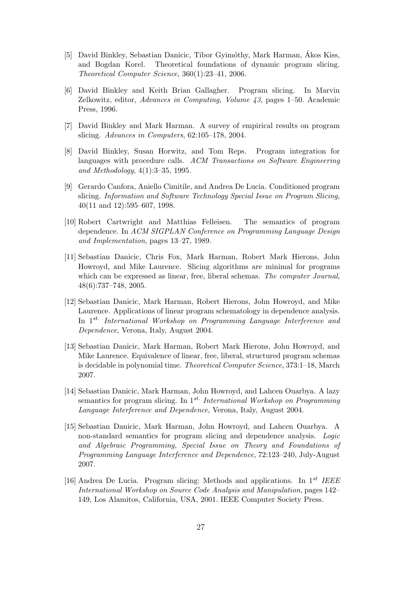- [5] David Binkley, Sebastian Danicic, Tibor Gyimóthy, Mark Harman, Akos Kiss, and Bogdan Korel. Theoretical foundations of dynamic program slicing. Theoretical Computer Science, 360(1):23–41, 2006.
- [6] David Binkley and Keith Brian Gallagher. Program slicing. In Marvin Zelkowitz, editor, Advances in Computing, Volume 43, pages 1–50. Academic Press, 1996.
- [7] David Binkley and Mark Harman. A survey of empirical results on program slicing. Advances in Computers, 62:105–178, 2004.
- [8] David Binkley, Susan Horwitz, and Tom Reps. Program integration for languages with procedure calls. ACM Transactions on Software Engineering and Methodology, 4(1):3–35, 1995.
- [9] Gerardo Canfora, Aniello Cimitile, and Andrea De Lucia. Conditioned program slicing. Information and Software Technology Special Issue on Program Slicing, 40(11 and 12):595–607, 1998.
- [10] Robert Cartwright and Matthias Felleisen. The semantics of program dependence. In ACM SIGPLAN Conference on Programming Language Design and Implementation, pages 13–27, 1989.
- [11] Sebastian Danicic, Chris Fox, Mark Harman, Robert Mark Hierons, John Howroyd, and Mike Laurence. Slicing algorithms are minimal for programs which can be expressed as linear, free, liberal schemas. The computer Journal, 48(6):737–748, 2005.
- [12] Sebastian Danicic, Mark Harman, Robert Hierons, John Howroyd, and Mike Laurence. Applications of linear program schematology in dependence analysis. In 1<sup>st.</sup> International Workshop on Programming Language Interference and Dependence, Verona, Italy, August 2004.
- [13] Sebastian Danicic, Mark Harman, Robert Mark Hierons, John Howroyd, and Mike Laurence. Equivalence of linear, free, liberal, structured program schemas is decidable in polynomial time. Theoretical Computer Science, 373:1–18, March 2007.
- [14] Sebastian Danicic, Mark Harman, John Howroyd, and Lahcen Ouarbya. A lazy semantics for program slicing. In 1<sup>st.</sup> International Workshop on Programming Language Interference and Dependence, Verona, Italy, August 2004.
- [15] Sebastian Danicic, Mark Harman, John Howroyd, and Lahcen Ouarbya. A non-standard semantics for program slicing and dependence analysis. Logic and Algebraic Programming, Special Issue on Theory and Foundations of Programming Language Interference and Dependence, 72:123–240, July-August 2007.
- [16] Andrea De Lucia. Program slicing: Methods and applications. In  $1^{st}$  IEEE International Workshop on Source Code Analysis and Manipulation, pages 142– 149, Los Alamitos, California, USA, 2001. IEEE Computer Society Press.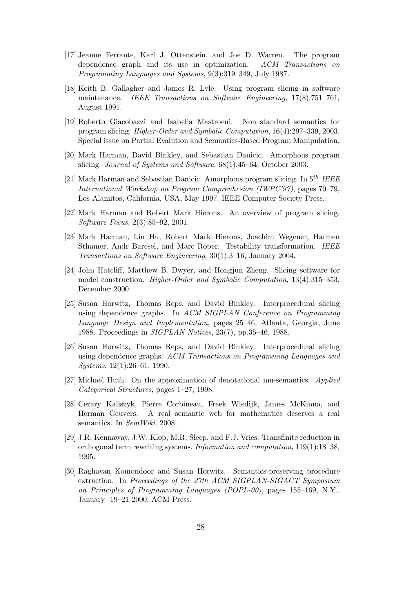- [17] Jeanne Ferrante, Karl J. Ottenstein, and Joe D. Warren. The program dependence graph and its use in optimization. ACM Transactions on Programming Languages and Systems, 9(3):319–349, July 1987.
- [18] Keith B. Gallagher and James R. Lyle. Using program slicing in software maintenance. IEEE Transactions on Software Engineering, 17(8):751–761, August 1991.
- [19] Roberto Giacobazzi and Isabella Mastroeni. Non–standard semantics for program slicing. Higher-Order and Symbolic Computation, 16(4):297–339, 2003. Special issue on Partial Evalution and Semantics-Based Program Manipulation.
- [20] Mark Harman, David Binkley, and Sebastian Danicic. Amorphous program slicing. Journal of Systems and Software, 68(1):45–64, October 2003.
- [21] Mark Harman and Sebastian Danicic. Amorphous program slicing. In  $5<sup>th</sup> IEEE$ International Workshop on Program Comprenhesion (IWPC'97), pages 70–79, Los Alamitos, California, USA, May 1997. IEEE Computer Society Press.
- [22] Mark Harman and Robert Mark Hierons. An overview of program slicing. Software Focus, 2(3):85–92, 2001.
- [23] Mark Harman, Lin Hu, Robert Mark Hierons, Joachim Wegener, Harmen Sthamer, Andr Baresel, and Marc Roper. Testability transformation. IEEE Transactions on Software Engineering, 30(1):3–16, January 2004.
- [24] John Hatcliff, Matthew B. Dwyer, and Hongjun Zheng. Slicing software for model construction. Higher-Order and Symbolic Computation, 13(4):315–353, December 2000.
- [25] Susan Horwitz, Thomas Reps, and David Binkley. Interprocedural slicing using dependence graphs. In ACM SIGPLAN Conference on Programming Language Design and Implementation, pages 25–46, Atlanta, Georgia, June 1988. Proceedings in SIGPLAN Notices, 23(7), pp.35–46, 1988.
- [26] Susan Horwitz, Thomas Reps, and David Binkley. Interprocedural slicing using dependence graphs. ACM Transactions on Programming Languages and Systems, 12(1):26–61, 1990.
- [27] Michael Huth. On the approximation of denotational mu-semantics. Applied Categorical Structures, pages 1–27, 1998.
- [28] Cezary Kaliszyk, Pierre Corbineau, Freek Wiedijk, James McKinna, and Herman Geuvers. A real semantic web for mathematics deserves a real semantics. In SemWiki, 2008.
- [29] J.R. Kennaway, J.W. Klop, M.R. Sleep, and F.J. Vries. Transfinite reduction in orthogonal term rewriting systems. Information and computation, 119(1):18–38, 1995.
- [30] Raghavan Komondoor and Susan Horwitz. Semantics-preserving procedure extraction. In Proceedings of the 27th ACM SIGPLAN-SIGACT Symposium on Principles of Programming Languages (POPL-00), pages 155–169, N.Y., January 19–21 2000. ACM Press.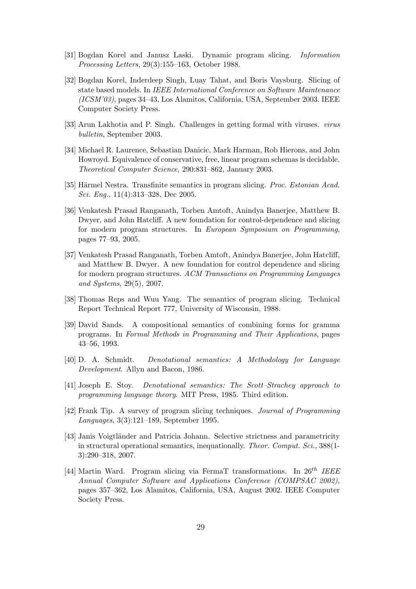- [31] Bogdan Korel and Janusz Laski. Dynamic program slicing. Information Processing Letters, 29(3):155–163, October 1988.
- [32] Bogdan Korel, Inderdeep Singh, Luay Tahat, and Boris Vaysburg. Slicing of state based models. In IEEE International Conference on Software Maintenance (ICSM'03), pages 34–43, Los Alamitos, California, USA, September 2003. IEEE Computer Society Press.
- [33] Arun Lakhotia and P. Singh. Challenges in getting formal with viruses. virus bulletin, September 2003.
- [34] Michael R. Laurence, Sebastian Danicic, Mark Harman, Rob Hierons, and John Howroyd. Equivalence of conservative, free, linear program schemas is decidable. Theoretical Computer Science, 290:831–862, January 2003.
- [35] Härmel Nestra. Transfinite semantics in program slicing. *Proc. Estonian Acad.* Sci. Eng., 11(4):313–328, Dec 2005.
- [36] Venkatesh Prasad Ranganath, Torben Amtoft, Anindya Banerjee, Matthew B. Dwyer, and John Hatcliff. A new foundation for control-dependence and slicing for modern program structures. In European Symposium on Programming, pages 77–93, 2005.
- [37] Venkatesh Prasad Ranganath, Torben Amtoft, Anindya Banerjee, John Hatcliff, and Matthew B. Dwyer. A new foundation for control dependence and slicing for modern program structures. ACM Transactions on Programming Languages and Systems, 29(5), 2007.
- [38] Thomas Reps and Wuu Yang. The semantics of program slicing. Technical Report Technical Report 777, University of Wisconsin, 1988.
- [39] David Sands. A compositional semantics of combining forms for gramma programs. In Formal Methods in Programming and Their Applications, pages 43–56, 1993.
- [40] D. A. Schmidt. Denotational semantics: A Methodology for Language Development. Allyn and Bacon, 1986.
- [41] Joseph E. Stoy. Denotational semantics: The Scott–Strachey approach to programming language theory. MIT Press, 1985. Third edition.
- [42] Frank Tip. A survey of program slicing techniques. Journal of Programming Languages, 3(3):121–189, September 1995.
- [43] Janis Voigtländer and Patricia Johann. Selective strictness and parametricity in structural operational semantics, inequationally. Theor. Comput. Sci., 388(1-3):290–318, 2007.
- [44] Martin Ward. Program slicing via FermaT transformations. In  $26^{th}$  IEEE Annual Computer Software and Applications Conference (COMPSAC 2002), pages 357–362, Los Alamitos, California, USA, August 2002. IEEE Computer Society Press.